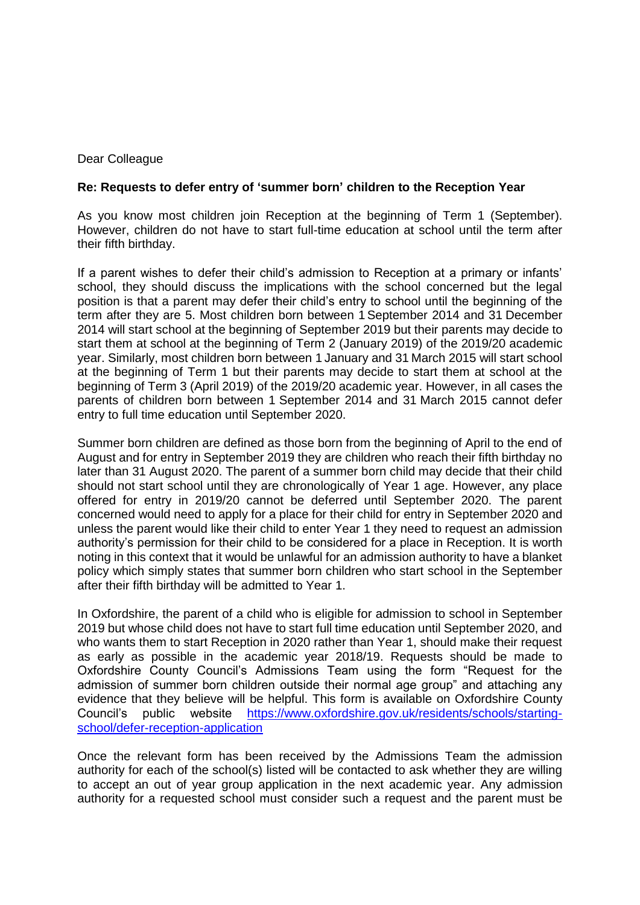## Dear Colleague

## **Re: Requests to defer entry of 'summer born' children to the Reception Year**

As you know most children join Reception at the beginning of Term 1 (September). However, children do not have to start full-time education at school until the term after their fifth birthday.

If a parent wishes to defer their child's admission to Reception at a primary or infants' school, they should discuss the implications with the school concerned but the legal position is that a parent may defer their child's entry to school until the beginning of the term after they are 5. Most children born between 1September 2014 and 31 December 2014 will start school at the beginning of September 2019 but their parents may decide to start them at school at the beginning of Term 2 (January 2019) of the 2019/20 academic year. Similarly, most children born between 1 January and 31 March 2015 will start school at the beginning of Term 1 but their parents may decide to start them at school at the beginning of Term 3 (April 2019) of the 2019/20 academic year. However, in all cases the parents of children born between 1 September 2014 and 31 March 2015 cannot defer entry to full time education until September 2020.

Summer born children are defined as those born from the beginning of April to the end of August and for entry in September 2019 they are children who reach their fifth birthday no later than 31 August 2020. The parent of a summer born child may decide that their child should not start school until they are chronologically of Year 1 age. However, any place offered for entry in 2019/20 cannot be deferred until September 2020. The parent concerned would need to apply for a place for their child for entry in September 2020 and unless the parent would like their child to enter Year 1 they need to request an admission authority's permission for their child to be considered for a place in Reception. It is worth noting in this context that it would be unlawful for an admission authority to have a blanket policy which simply states that summer born children who start school in the September after their fifth birthday will be admitted to Year 1.

In Oxfordshire, the parent of a child who is eligible for admission to school in September 2019 but whose child does not have to start full time education until September 2020, and who wants them to start Reception in 2020 rather than Year 1, should make their request as early as possible in the academic year 2018/19. Requests should be made to Oxfordshire County Council's Admissions Team using the form "Request for the admission of summer born children outside their normal age group" and attaching any evidence that they believe will be helpful. This form is available on Oxfordshire County Council's public website [https://www.oxfordshire.gov.uk/residents/schools/starting](https://www.oxfordshire.gov.uk/residents/schools/starting-school/defer-reception-application)[school/defer-reception-application](https://www.oxfordshire.gov.uk/residents/schools/starting-school/defer-reception-application)

Once the relevant form has been received by the Admissions Team the admission authority for each of the school(s) listed will be contacted to ask whether they are willing to accept an out of year group application in the next academic year. Any admission authority for a requested school must consider such a request and the parent must be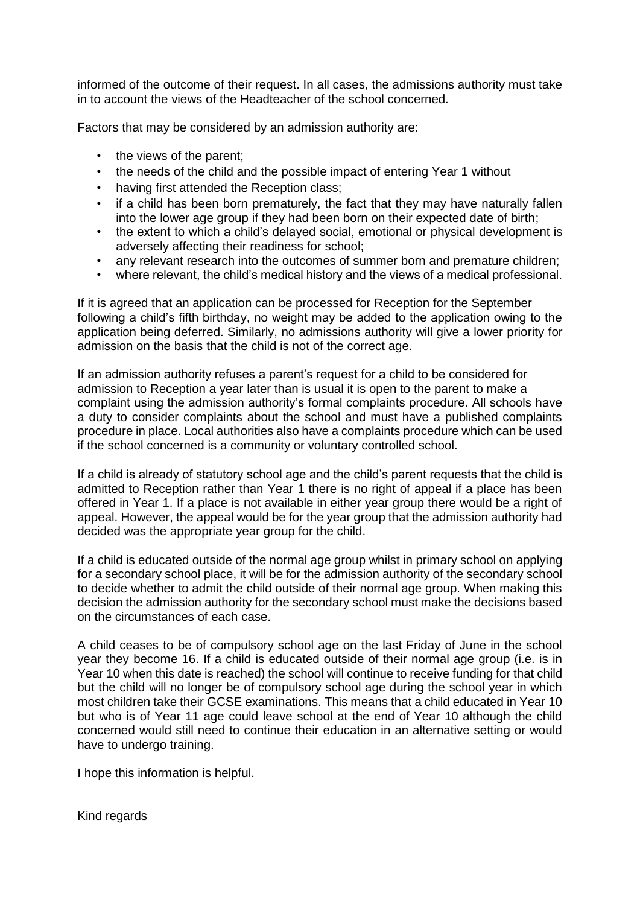informed of the outcome of their request. In all cases, the admissions authority must take in to account the views of the Headteacher of the school concerned.

Factors that may be considered by an admission authority are:

- the views of the parent;
- the needs of the child and the possible impact of entering Year 1 without
- having first attended the Reception class;
- if a child has been born prematurely, the fact that they may have naturally fallen into the lower age group if they had been born on their expected date of birth;
- the extent to which a child's delayed social, emotional or physical development is adversely affecting their readiness for school;
- any relevant research into the outcomes of summer born and premature children;
- where relevant, the child's medical history and the views of a medical professional.

If it is agreed that an application can be processed for Reception for the September following a child's fifth birthday, no weight may be added to the application owing to the application being deferred. Similarly, no admissions authority will give a lower priority for admission on the basis that the child is not of the correct age.

If an admission authority refuses a parent's request for a child to be considered for admission to Reception a year later than is usual it is open to the parent to make a complaint using the admission authority's formal complaints procedure. All schools have a duty to consider complaints about the school and must have a published complaints procedure in place. Local authorities also have a complaints procedure which can be used if the school concerned is a community or voluntary controlled school.

If a child is already of statutory school age and the child's parent requests that the child is admitted to Reception rather than Year 1 there is no right of appeal if a place has been offered in Year 1. If a place is not available in either year group there would be a right of appeal. However, the appeal would be for the year group that the admission authority had decided was the appropriate year group for the child.

If a child is educated outside of the normal age group whilst in primary school on applying for a secondary school place, it will be for the admission authority of the secondary school to decide whether to admit the child outside of their normal age group. When making this decision the admission authority for the secondary school must make the decisions based on the circumstances of each case.

A child ceases to be of compulsory school age on the last Friday of June in the school year they become 16. If a child is educated outside of their normal age group (i.e. is in Year 10 when this date is reached) the school will continue to receive funding for that child but the child will no longer be of compulsory school age during the school year in which most children take their GCSE examinations. This means that a child educated in Year 10 but who is of Year 11 age could leave school at the end of Year 10 although the child concerned would still need to continue their education in an alternative setting or would have to undergo training.

I hope this information is helpful.

Kind regards